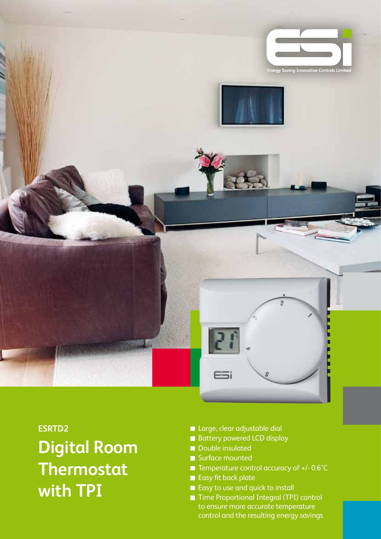

**ESRTD2 Digital Room Thermostat with TPI**

- **Large, clear adjustable dial**
- Battery powered LCD display
- Double insulated
- Surface mounted
- $\blacksquare$  Temperature control accuracy of +/- 0.6°C
- Easy fit back plate
- Easy to use and quick to install
- Time Proportional Integral (TPI) control to ensure more accurate temperature control and the resulting energy savings